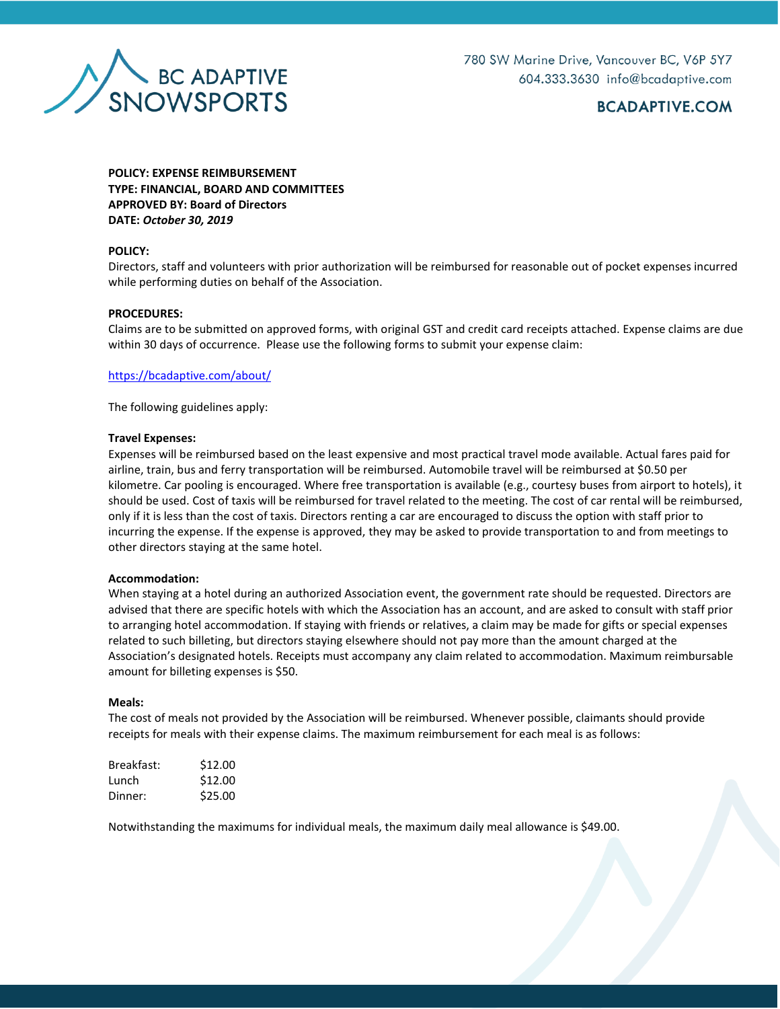

# **BCADAPTIVE.COM**

**POLICY: EXPENSE REIMBURSEMENT TYPE: FINANCIAL, BOARD AND COMMITTEES APPROVED BY: Board of Directors DATE:** *October 30, 2019*

### **POLICY:**

Directors, staff and volunteers with prior authorization will be reimbursed for reasonable out of pocket expenses incurred while performing duties on behalf of the Association.

## **PROCEDURES:**

Claims are to be submitted on approved forms, with original GST and credit card receipts attached. Expense claims are due within 30 days of occurrence. Please use the following forms to submit your expense claim:

#### <https://bcadaptive.com/about/>

The following guidelines apply:

#### **Travel Expenses:**

Expenses will be reimbursed based on the least expensive and most practical travel mode available. Actual fares paid for airline, train, bus and ferry transportation will be reimbursed. Automobile travel will be reimbursed at \$0.50 per kilometre. Car pooling is encouraged. Where free transportation is available (e.g., courtesy buses from airport to hotels), it should be used. Cost of taxis will be reimbursed for travel related to the meeting. The cost of car rental will be reimbursed, only if it is less than the cost of taxis. Directors renting a car are encouraged to discuss the option with staff prior to incurring the expense. If the expense is approved, they may be asked to provide transportation to and from meetings to other directors staying at the same hotel.

#### **Accommodation:**

When staying at a hotel during an authorized Association event, the government rate should be requested. Directors are advised that there are specific hotels with which the Association has an account, and are asked to consult with staff prior to arranging hotel accommodation. If staying with friends or relatives, a claim may be made for gifts or special expenses related to such billeting, but directors staying elsewhere should not pay more than the amount charged at the Association's designated hotels. Receipts must accompany any claim related to accommodation. Maximum reimbursable amount for billeting expenses is \$50.

#### **Meals:**

The cost of meals not provided by the Association will be reimbursed. Whenever possible, claimants should provide receipts for meals with their expense claims. The maximum reimbursement for each meal is as follows:

| Breakfast: | \$12.00 |
|------------|---------|
| Lunch      | \$12.00 |
| Dinner:    | \$25.00 |

Notwithstanding the maximums for individual meals, the maximum daily meal allowance is \$49.00.